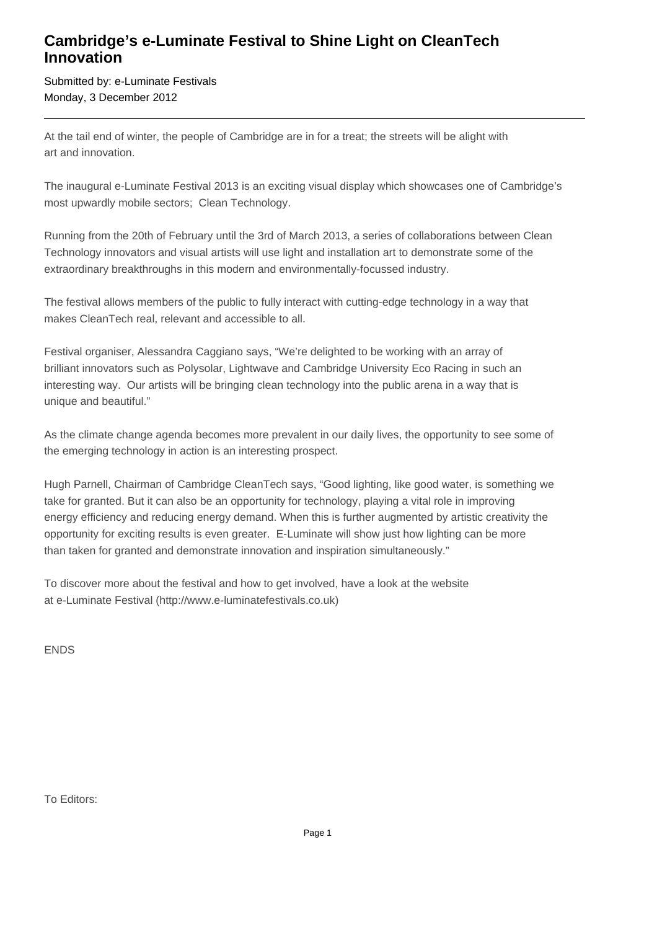## **Cambridge's e-Luminate Festival to Shine Light on CleanTech Innovation**

Submitted by: e-Luminate Festivals Monday, 3 December 2012

At the tail end of winter, the people of Cambridge are in for a treat; the streets will be alight with art and innovation.

The inaugural e-Luminate Festival 2013 is an exciting visual display which showcases one of Cambridge's most upwardly mobile sectors; Clean Technology.

Running from the 20th of February until the 3rd of March 2013, a series of collaborations between Clean Technology innovators and visual artists will use light and installation art to demonstrate some of the extraordinary breakthroughs in this modern and environmentally-focussed industry.

The festival allows members of the public to fully interact with cutting-edge technology in a way that makes CleanTech real, relevant and accessible to all.

Festival organiser, Alessandra Caggiano says, "We're delighted to be working with an array of brilliant innovators such as Polysolar, Lightwave and Cambridge University Eco Racing in such an interesting way. Our artists will be bringing clean technology into the public arena in a way that is unique and beautiful."

As the climate change agenda becomes more prevalent in our daily lives, the opportunity to see some of the emerging technology in action is an interesting prospect.

Hugh Parnell, Chairman of Cambridge CleanTech says, "Good lighting, like good water, is something we take for granted. But it can also be an opportunity for technology, playing a vital role in improving energy efficiency and reducing energy demand. When this is further augmented by artistic creativity the opportunity for exciting results is even greater. E-Luminate will show just how lighting can be more than taken for granted and demonstrate innovation and inspiration simultaneously."

To discover more about the festival and how to get involved, have a look at the website at e-Luminate Festival (http://www.e-luminatefestivals.co.uk)

ENDS